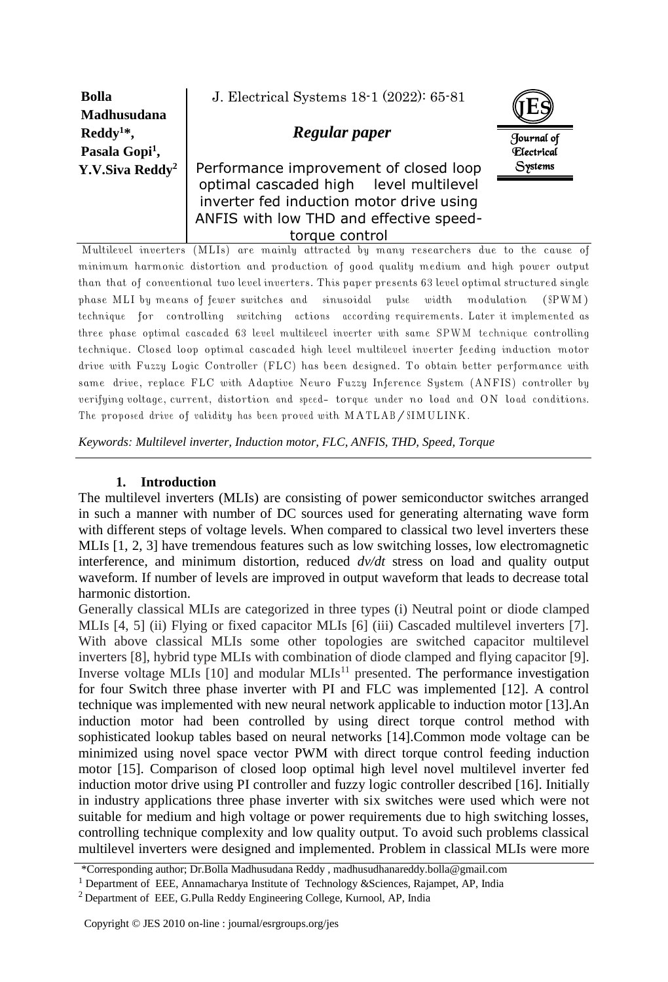| <b>Bolla</b>                                | J. Electrical Systems 18-1 (2022): 65-81                                                                                     |                                        |
|---------------------------------------------|------------------------------------------------------------------------------------------------------------------------------|----------------------------------------|
| <b>Madhusudana</b><br>$\text{Reddy}^{1*}$ , | Regular paper                                                                                                                |                                        |
| Pasala Gopi <sup>1</sup> ,                  |                                                                                                                              | Journal of<br><i><b>Electrical</b></i> |
| Y.V.Siva Reddy <sup>2</sup>                 | Performance improvement of closed loop<br>optimal cascaded high level multilevel<br>inverter fed induction motor drive using | <b>Systems</b>                         |
|                                             | ANFIS with low THD and effective speed-<br>torque control                                                                    |                                        |

Multilevel inverters (MLIs) are mainly attracted by many researchers due to the cause of minimum harmonic distortion and production of good quality medium and high power output than that of conventional two level inverters. This paper presents 63 level optimal structured single phase MLI by means of fewer switches and sinusoidal pulse width modulation (SPWM) technique for controlling switching actions according requirements. Later it implemented as three phase optimal cascaded 63 level multilevel inverter with same SPWM technique controlling technique. Closed loop optimal cascaded high level multilevel inverter feeding induction motor drive with Fuzzy Logic Controller (FLC) has been designed. To obtain better performance with same drive, replace FLC with Adaptive Neuro Fuzzy Inference System (ANFIS) controller by verifying voltage, current, distortion and speed- torque under no load and ON load conditions. The proposed drive of validity has been proved with MATLAB/SIMULINK.

*Keywords: Multilevel inverter, Induction motor, FLC, ANFIS, THD, Speed, Torque*

## **1. Introduction**

The multilevel inverters (MLIs) are consisting of power semiconductor switches arranged in such a manner with number of DC sources used for generating alternating wave form with different steps of voltage levels. When compared to classical two level inverters these MLIs [1, 2, 3] have tremendous features such as low switching losses, low electromagnetic interference, and minimum distortion, reduced *dv/dt* stress on load and quality output waveform. If number of levels are improved in output waveform that leads to decrease total harmonic distortion.

Generally classical MLIs are categorized in three types (i) Neutral point or diode clamped MLIs [4, 5] (ii) Flying or fixed capacitor MLIs [6] (iii) Cascaded multilevel inverters [7]. With above classical MLIs some other topologies are switched capacitor multilevel inverters [8], hybrid type MLIs with combination of diode clamped and flying capacitor [9]. Inverse voltage MLIs  $[10]$  and modular MLIs<sup>11</sup> presented. The performance investigation for four Switch three phase inverter with PI and FLC was implemented [12]. A control technique was implemented with new neural network applicable to induction motor [13].An induction motor had been controlled by using direct torque control method with sophisticated lookup tables based on neural networks [14].Common mode voltage can be minimized using novel space vector PWM with direct torque control feeding induction motor [15]. Comparison of closed loop optimal high level novel multilevel inverter fed induction motor drive using PI controller and fuzzy logic controller described [16]. Initially in industry applications three phase inverter with six switches were used which were not suitable for medium and high voltage or power requirements due to high switching losses, controlling technique complexity and low quality output. To avoid such problems classical multilevel inverters were designed and implemented. Problem in classical MLIs were more

<sup>\*</sup>Corresponding author; Dr.Bolla Madhusudana Reddy , madhusudhanareddy.bolla@gmail.com

<sup>&</sup>lt;sup>1</sup> Department of EEE, Annamacharya Institute of Technology &Sciences, Rajampet, AP, India

<sup>&</sup>lt;sup>2</sup> Department of EEE, G.Pulla Reddy Engineering College, Kurnool, AP, India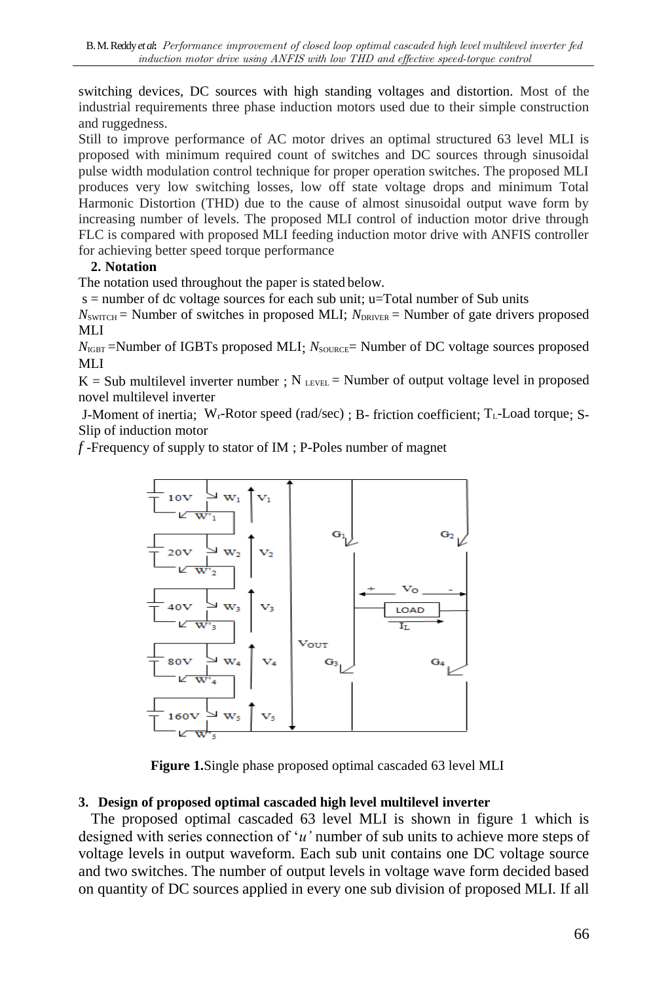switching devices, DC sources with high standing voltages and distortion. Most of the industrial requirements three phase induction motors used due to their simple construction and ruggedness.

Still to improve performance of AC motor drives an optimal structured 63 level MLI is proposed with minimum required count of switches and DC sources through sinusoidal pulse width modulation control technique for proper operation switches. The proposed MLI produces very low switching losses, low off state voltage drops and minimum Total Harmonic Distortion (THD) due to the cause of almost sinusoidal output wave form by increasing number of levels. The proposed MLI control of induction motor drive through FLC is compared with proposed MLI feeding induction motor drive with ANFIS controller for achieving better speed torque performance

# **2. Notation**

The notation used throughout the paper is stated below.

s = number of dc voltage sources for each sub unit; u=Total number of Sub units

 $N_{\text{SWITCH}}$  = Number of switches in proposed MLI;  $N_{\text{DRIVER}}$  = Number of gate drivers proposed MLI

 $N_{\text{IGBT}}$  =Number of IGBTs proposed MLI;  $N_{\text{SOLRCE}}$  = Number of DC voltage sources proposed MLI

 $K = Sub$  multilevel inverter number :  $N_{\text{LEVEL}} =$  Number of output voltage level in proposed novel multilevel inverter

J-Moment of inertia;  $W_r$ -Rotor speed (rad/sec) ; B- friction coefficient;  $T_l$ -Load torque; S-Slip of induction motor

*f* -Frequency of supply to stator of IM ; P-Poles number of magnet



**Figure 1.**Single phase proposed optimal cascaded 63 level MLI

# **3. Design of proposed optimal cascaded high level multilevel inverter**

The proposed optimal cascaded 63 level MLI is shown in figure 1 which is designed with series connection of '*u'* number of sub units to achieve more steps of voltage levels in output waveform. Each sub unit contains one DC voltage source and two switches. The number of output levels in voltage wave form decided based on quantity of DC sources applied in every one sub division of proposed MLI. If all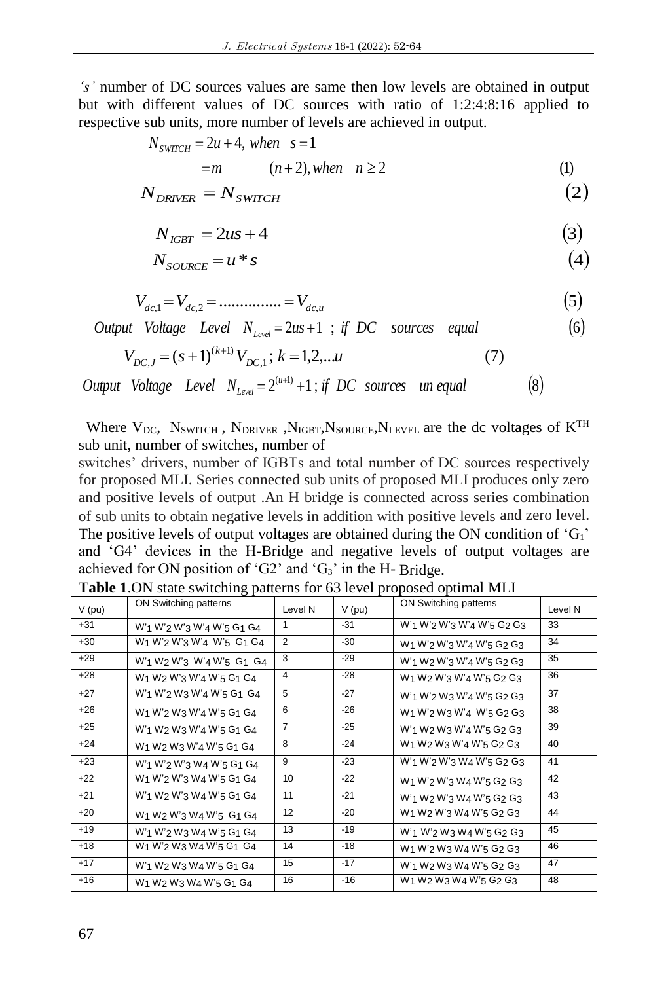*'s'* number of DC sources values are same then low levels are obtained in output but with different values of DC sources with ratio of 1:2:4:8:16 applied to respective sub units, more number of levels are achieved in output.

$$
N_{\text{SWTCH}} = 2u + 4, \text{ when } s = 1
$$
  
=  $m$   $(n+2), \text{ when } n \ge 2$  (1)

$$
N_{DRIVER} = N_{SWTCH} \tag{2}
$$

$$
N_{IGBT} = 2us + 4 \tag{3}
$$

$$
N_{\text{SOLVECE}} = u * s \tag{4}
$$

$$
V_{dc,1} = V_{dc,2} = \dots \dots \dots \dots = V_{dc,u}
$$
\n(5)

*Output Voltage Level*  $N_{level} = 2us + 1$ ; *if DC sources equal* (6)

$$
V_{DC,J} = (s+1)^{(k+1)} V_{DC,1}; k = 1,2,...u
$$
 (7)

Output Voltage Level  $N_{Level} = 2^{(u+1)} + 1$ ; if DC sources un equal (8)

Where  $V_{DC}$ ,  $N_{SWITCH}$ ,  $N_{DRIVER}$ ,  $N_{IGBT}$ ,  $N_{SOURCE}$ ,  $N_{LEVEL}$  are the dc voltages of  $K^{TH}$ sub unit, number of switches, number of

switches' drivers, number of IGBTs and total number of DC sources respectively for proposed MLI. Series connected sub units of proposed MLI produces only zero and positive levels of output .An H bridge is connected across series combination of sub units to obtain negative levels in addition with positive levels and zero level. The positive levels of output voltages are obtained during the ON condition of  $G_1$ ' and 'G4' devices in the H-Bridge and negative levels of output voltages are achieved for ON position of 'G2' and 'G3' in the H- Bridge.

| V (pu) | ON Switching patterns                                                                                        | Level N        | $V$ (pu) | ON Switching patterns                                                                                        | Level N |
|--------|--------------------------------------------------------------------------------------------------------------|----------------|----------|--------------------------------------------------------------------------------------------------------------|---------|
| +31    | W'1 W'2 W'3 W'4 W'5 G1 G4                                                                                    | 1              | $-31$    | W'1 W'2 W'3 W'4 W'5 G2 G3                                                                                    | 33      |
| +30    | W <sub>1</sub> W' <sub>2</sub> W' <sub>3</sub> W' <sub>4</sub> W' <sub>5</sub> G <sub>1</sub> G <sub>4</sub> | 2              | $-30$    | W <sub>1</sub> W' <sub>2</sub> W' <sub>3</sub> W' <sub>4</sub> W' <sub>5</sub> G <sub>2</sub> G <sub>3</sub> | 34      |
| +29    | W'1 W2 W'3 W'4 W'5 G1 G4                                                                                     | 3              | $-29$    | W' <sub>1</sub> W <sub>2</sub> W' <sub>3</sub> W' <sub>4</sub> W' <sub>5</sub> G <sub>2</sub> G <sub>3</sub> | 35      |
| +28    | W <sub>1</sub> W <sub>2</sub> W' <sub>3</sub> W' <sub>4</sub> W' <sub>5</sub> G <sub>1</sub> G <sub>4</sub>  | 4              | $-28$    | W <sub>1</sub> W <sub>2</sub> W' <sub>3</sub> W' <sub>4</sub> W' <sub>5</sub> G <sub>2</sub> G <sub>3</sub>  | 36      |
| $+27$  | W'1 W'2 W3 W'4 W'5 G1 G4                                                                                     | 5              | $-27$    | W'1 W'2 W3 W'4 W'5 G2 G3                                                                                     | 37      |
| +26    | W <sub>1</sub> W' <sub>2</sub> W <sub>3</sub> W' <sub>4</sub> W' <sub>5</sub> G <sub>1</sub> G <sub>4</sub>  | 6              | $-26$    | W <sub>1</sub> W' <sub>2</sub> W <sub>3</sub> W' <sub>4</sub> W' <sub>5</sub> G <sub>2</sub> G <sub>3</sub>  | 38      |
| +25    | W'1 W2 W3 W'4 W'5 G1 G4                                                                                      | $\overline{7}$ | $-25$    | W'1 W2 W3 W'4 W'5 G2 G3                                                                                      | 39      |
| +24    | W <sub>1</sub> W <sub>2</sub> W <sub>3</sub> W' <sub>4</sub> W' <sub>5</sub> G <sub>1</sub> G <sub>4</sub>   | 8              | $-24$    | W <sub>1</sub> W <sub>2</sub> W <sub>3</sub> W' <sub>4</sub> W' <sub>5</sub> G <sub>2</sub> G <sub>3</sub>   | 40      |
| $+23$  | W'1 W'2 W'3 W4 W'5 G1 G4                                                                                     | 9              | $-23$    | W'1 W'2 W'3 W4 W'5 G2 G3                                                                                     | 41      |
| $+22$  | W1 W'2 W'3 W4 W'5 G1 G4                                                                                      | 10             | $-22$    | W <sub>1</sub> W' <sub>2</sub> W' <sub>3</sub> W <sub>4</sub> W' <sub>5</sub> G <sub>2</sub> G <sub>3</sub>  | 42      |
| +21    | W'1 W2 W'3 W4 W'5 G1 G4                                                                                      | 11             | $-21$    | W'1 W2 W'3 W4 W'5 G2 G3                                                                                      | 43      |
| $+20$  | W <sub>1</sub> W <sub>2</sub> W' <sub>3</sub> W <sub>4</sub> W' <sub>5</sub> G <sub>1</sub> G <sub>4</sub>   | 12             | $-20$    | W <sub>1</sub> W <sub>2</sub> W' <sub>3</sub> W <sub>4</sub> W' <sub>5</sub> G <sub>2</sub> G <sub>3</sub>   | 44      |
| $+19$  | W'1 W'2 W3 W4 W'5 G1 G4                                                                                      | 13             | $-19$    | W' <sub>1</sub> W' <sub>2</sub> W <sub>3</sub> W <sub>4</sub> W' <sub>5</sub> G <sub>2</sub> G <sub>3</sub>  | 45      |
| +18    | W <sub>1</sub> W' <sub>2</sub> W <sub>3</sub> W <sub>4</sub> W' <sub>5</sub> G <sub>1</sub> G <sub>4</sub>   | 14             | $-18$    | W <sub>1</sub> W' <sub>2</sub> W <sub>3</sub> W <sub>4</sub> W' <sub>5</sub> G <sub>2</sub> G <sub>3</sub>   | 46      |
| $+17$  | W'1 W2 W3 W4 W'5 G1 G4                                                                                       | 15             | $-17$    | W' <sub>1</sub> W <sub>2</sub> W <sub>3</sub> W <sub>4</sub> W' <sub>5</sub> G <sub>2</sub> G <sub>3</sub>   | 47      |
| $+16$  | W <sub>1</sub> W <sub>2</sub> W <sub>3</sub> W <sub>4</sub> W' <sub>5</sub> G <sub>1</sub> G <sub>4</sub>    | 16             | $-16$    | W <sub>1</sub> W <sub>2</sub> W <sub>3</sub> W <sub>4</sub> W' <sub>5</sub> G <sub>2</sub> G <sub>3</sub>    | 48      |

**Table 1**.ON state switching patterns for 63 level proposed optimal MLI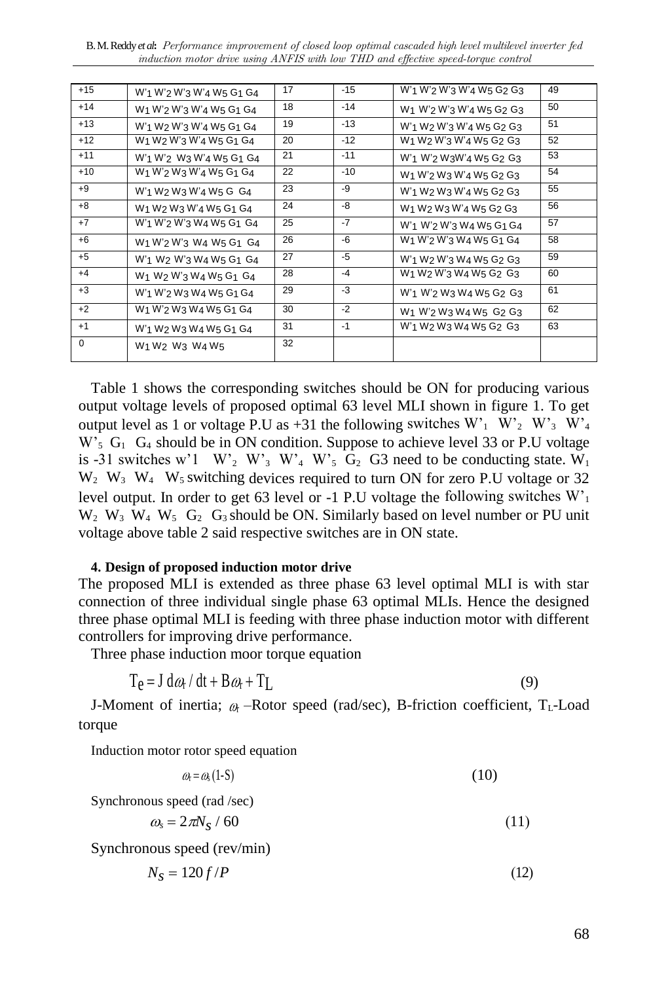B. M. Reddy *et al***:** Performance improvement of closed loop optimal cascaded high level multilevel inverter fed induction motor drive using ANFIS with low THD and effective speed-torque control

| $+15$       | W'1 W'2 W'3 W'4 W5 G1 G4                                                                                    | 17 | $-15$ | W' <sub>1</sub> W' <sub>2</sub> W' <sub>3</sub> W' <sub>4</sub> W <sub>5</sub> G <sub>2</sub> G <sub>3</sub> | 49 |
|-------------|-------------------------------------------------------------------------------------------------------------|----|-------|--------------------------------------------------------------------------------------------------------------|----|
| $+14$       | W <sub>1</sub> W' <sub>2</sub> W' <sub>3</sub> W' <sub>4</sub> W <sub>5</sub> G <sub>1</sub> G <sub>4</sub> | 18 | $-14$ | W <sub>1</sub> W' <sub>2</sub> W' <sub>3</sub> W' <sub>4</sub> W <sub>5</sub> G <sub>2</sub> G <sub>3</sub>  | 50 |
| $+13$       | W'1 W2 W'3 W'4 W5 G1 G4                                                                                     | 19 | $-13$ | W'1 W2 W'3 W'4 W5 G2 G3                                                                                      | 51 |
| $+12$       | W <sub>1</sub> W <sub>2</sub> W' <sub>3</sub> W' <sub>4</sub> W <sub>5</sub> G <sub>1</sub> G <sub>4</sub>  | 20 | $-12$ | W <sub>1</sub> W <sub>2</sub> W' <sub>3</sub> W' <sub>4</sub> W <sub>5</sub> G <sub>2</sub> G <sub>3</sub>   | 52 |
| $+11$       | W' <sub>1</sub> W' <sub>2</sub> W <sub>3</sub> W' <sub>4</sub> W <sub>5</sub> G <sub>1</sub> G <sub>4</sub> | 21 | $-11$ | W' <sub>1</sub> W' <sub>2</sub> W <sub>3</sub> W' <sub>4</sub> W <sub>5</sub> G <sub>2</sub> G <sub>3</sub>  | 53 |
| $+10$       | W1 W'2 W3 W'4 W5 G1 G4                                                                                      | 22 | $-10$ | W <sub>1</sub> W' <sub>2</sub> W <sub>3</sub> W' <sub>4</sub> W <sub>5</sub> G <sub>2</sub> G <sub>3</sub>   | 54 |
| $+9$        | W' <sub>1</sub> W <sub>2</sub> W <sub>3</sub> W' <sub>4</sub> W <sub>5</sub> G G <sub>4</sub>               | 23 | -9    | W' <sub>1</sub> W <sub>2</sub> W <sub>3</sub> W' <sub>4</sub> W <sub>5</sub> G <sub>2</sub> G <sub>3</sub>   | 55 |
| $+8$        | W <sub>1</sub> W <sub>2</sub> W <sub>3</sub> W' <sub>4</sub> W <sub>5</sub> G <sub>1</sub> G <sub>4</sub>   | 24 | -8    | W <sub>1</sub> W <sub>2</sub> W <sub>3</sub> W' <sub>4</sub> W <sub>5</sub> G <sub>2</sub> G <sub>3</sub>    | 56 |
| $+7$        | W'1 W'2 W'3 W4 W5 G1 G4                                                                                     | 25 | $-7$  | W'1 W'2 W'3 W4 W5 G1 G4                                                                                      | 57 |
| $+6$        | W <sub>1</sub> W' <sub>2</sub> W' <sub>3</sub> W <sub>4</sub> W <sub>5</sub> G <sub>1</sub> G <sub>4</sub>  | 26 | -6    | W <sub>1</sub> W' <sub>2</sub> W' <sub>3</sub> W <sub>4</sub> W <sub>5</sub> G <sub>1</sub> G <sub>4</sub>   | 58 |
| $+5$        | W'1 W2 W'3 W4 W5 G1 G4                                                                                      | 27 | -5    | W'1 W2 W'3 W4 W5 G2 G3                                                                                       | 59 |
| $+4$        | W <sub>1</sub> W <sub>2</sub> W' <sub>3</sub> W <sub>4</sub> W <sub>5</sub> G <sub>1</sub> G <sub>4</sub>   | 28 | $-4$  | W <sub>1</sub> W <sub>2</sub> W'3 W <sub>4</sub> W <sub>5</sub> G <sub>2</sub> G <sub>3</sub>                | 60 |
| $+3$        | W'1 W'2 W3 W4 W5 G1 G4                                                                                      | 29 | -3    | W'1 W'2 W3 W4 W5 G2 G3                                                                                       | 61 |
| $+2$        | W <sub>1</sub> W' <sub>2</sub> W <sub>3</sub> W <sub>4</sub> W <sub>5</sub> G <sub>1</sub> G <sub>4</sub>   | 30 | $-2$  | W <sub>1</sub> W' <sub>2</sub> W <sub>3</sub> W <sub>4</sub> W <sub>5</sub> G <sub>2</sub> G <sub>3</sub>    | 62 |
| $+1$        | W'1 W2 W3 W4 W5 G1 G4                                                                                       | 31 | $-1$  | W' <sub>1</sub> W <sub>2</sub> W <sub>3</sub> W <sub>4</sub> W <sub>5</sub> G <sub>2</sub> G <sub>3</sub>    | 63 |
| $\mathbf 0$ | W <sub>1</sub> W <sub>2</sub> W <sub>3</sub> W <sub>4</sub> W <sub>5</sub>                                  | 32 |       |                                                                                                              |    |

Table 1 shows the corresponding switches should be ON for producing various output voltage levels of proposed optimal 63 level MLI shown in figure 1. To get output level as 1 or voltage P.U as +31 the following switches  $W_1$   $W_2$   $W_3$   $W_4$  $W_5$  G<sub>1</sub> G<sub>4</sub> should be in ON condition. Suppose to achieve level 33 or P.U voltage is -31 switches w'1 W'<sub>2</sub> W'<sub>3</sub> W'<sub>4</sub> W'<sub>5</sub> G<sub>2</sub> G3 need to be conducting state. W<sub>1</sub>  $W_2$  W<sub>3</sub> W<sub>4</sub> W<sub>5</sub> switching devices required to turn ON for zero P.U voltage or 32 level output. In order to get 63 level or -1 P.U voltage the following switches  $W<sub>1</sub>$  $W_2$  W<sub>3</sub> W<sub>4</sub> W<sub>5</sub> G<sub>2</sub> G<sub>3</sub> should be ON. Similarly based on level number or PU unit voltage above table 2 said respective switches are in ON state.

## **4. Design of proposed induction motor drive**

The proposed MLI is extended as three phase 63 level optimal MLI is with star connection of three individual single phase 63 optimal MLIs. Hence the designed three phase optimal MLI is feeding with three phase induction motor with different controllers for improving drive performance.

Three phase induction moor torque equation

$$
T_e = J d\omega_t / dt + B\omega_t + T_L
$$
 (9)

J-Moment of inertia;  $\alpha$  –Rotor speed (rad/sec), B-friction coefficient, T<sub>L</sub>-Load torque

Induction motor rotor speed equation

$$
\omega_{\rm r} = \omega_{\rm s} (1 - S) \tag{10}
$$

Synchronous speed (rad /sec)

$$
\omega_s = 2\pi N_s / 60 \tag{11}
$$

Synchronous speed (rev/min)

 $N_s = 120 f / P$  (12)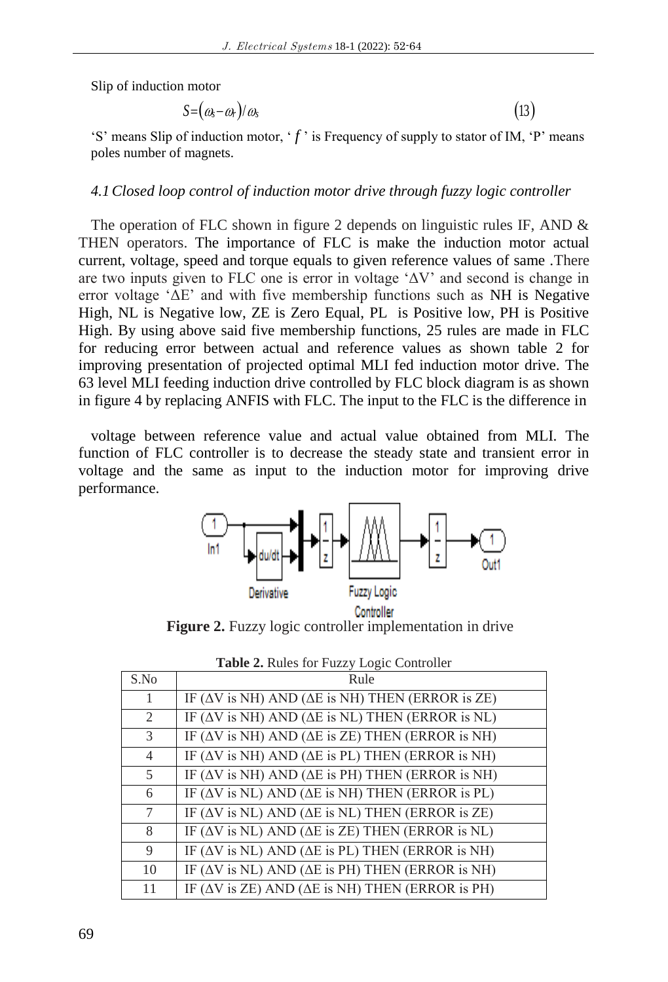Slip of induction motor

$$
S = (\omega_s - \omega_r)/\omega_s \tag{13}
$$

'S' means Slip of induction motor,  $f'$  is Frequency of supply to stator of IM,  $'P'$  means poles number of magnets.

## *4.1Closed loop control of induction motor drive through fuzzy logic controller*

The operation of FLC shown in figure 2 depends on linguistic rules IF, AND  $\&$ THEN operators. The importance of FLC is make the induction motor actual current, voltage, speed and torque equals to given reference values of same .There are two inputs given to FLC one is error in voltage 'ΔV' and second is change in error voltage 'ΔE' and with five membership functions such as NH is Negative High, NL is Negative low, ZE is Zero Equal, PL is Positive low, PH is Positive High. By using above said five membership functions, 25 rules are made in FLC for reducing error between actual and reference values as shown table 2 for improving presentation of projected optimal MLI fed induction motor drive. The 63 level MLI feeding induction drive controlled by FLC block diagram is as shown in figure 4 by replacing ANFIS with FLC. The input to the FLC is the difference in

voltage between reference value and actual value obtained from MLI. The function of FLC controller is to decrease the steady state and transient error in voltage and the same as input to the induction motor for improving drive performance.



Figure 2. Fuzzy logic controller implementation in drive

|                | <b>THERE EXECUTED</b> FOR THE RELAY LOCAL CONDUCT                               |
|----------------|---------------------------------------------------------------------------------|
| S.No           | Rule                                                                            |
|                | IF ( $\Delta V$ is NH) AND ( $\Delta E$ is NH) THEN (ERROR is ZE)               |
| 2              | IF ( $\Delta V$ is NH) AND ( $\Delta E$ is NL) THEN (ERROR is NL)               |
| 3              | IF ( $\Delta V$ is NH) AND ( $\Delta E$ is $\overline{ZE}$ ) THEN (ERROR is NH) |
| $\overline{4}$ | IF ( $\Delta V$ is NH) AND ( $\Delta E$ is PL) THEN (ERROR is NH)               |
| 5              | IF ( $\Delta V$ is NH) AND ( $\Delta E$ is PH) THEN (ERROR is NH)               |
| 6              | IF ( $\Delta V$ is NL) AND ( $\Delta E$ is NH) THEN (ERROR is PL)               |
| 7              | IF ( $\Delta V$ is NL) AND ( $\Delta E$ is NL) THEN (ERROR is ZE)               |
| 8              | IF ( $\Delta V$ is NL) AND ( $\Delta E$ is ZE) THEN (ERROR is NL)               |
| 9              | IF ( $\Delta V$ is NL) AND ( $\Delta E$ is PL) THEN (ERROR is NH)               |
| 10             | IF ( $\Delta V$ is NL) AND ( $\Delta E$ is PH) THEN (ERROR is NH)               |
| 11             | IF ( $\Delta V$ is ZE) AND ( $\Delta E$ is NH) THEN (ERROR is PH)               |

|  |  |  |  |  | Table 2. Rules for Fuzzy Logic Controller |
|--|--|--|--|--|-------------------------------------------|
|--|--|--|--|--|-------------------------------------------|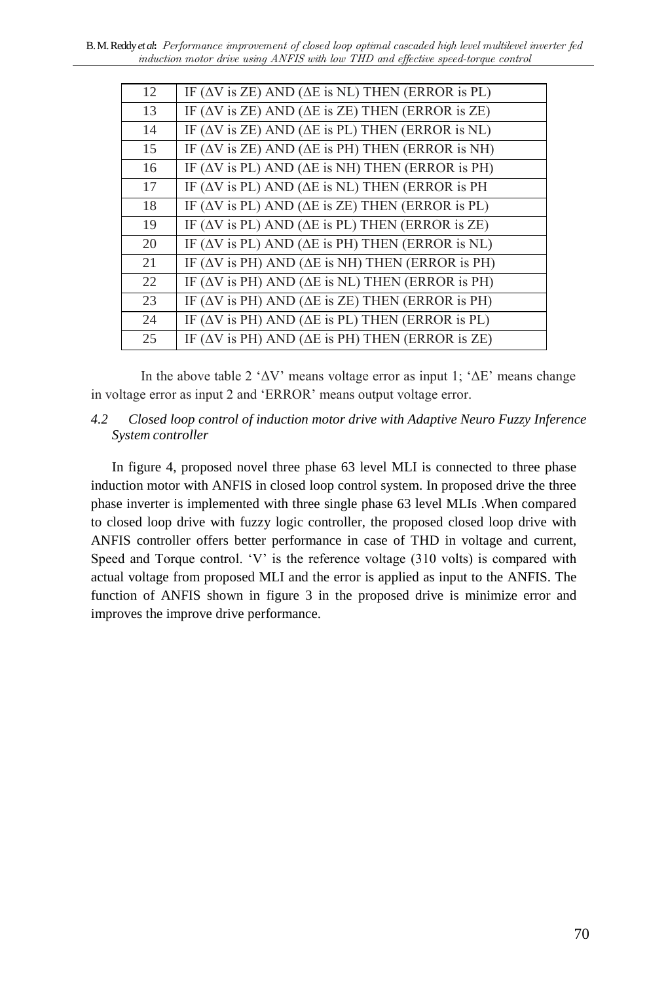| 12 | IF ( $\Delta V$ is ZE) AND ( $\Delta E$ is NL) THEN (ERROR is PL) |
|----|-------------------------------------------------------------------|
| 13 | IF ( $\Delta V$ is ZE) AND ( $\Delta E$ is ZE) THEN (ERROR is ZE) |
| 14 | IF ( $\Delta V$ is ZE) AND ( $\Delta E$ is PL) THEN (ERROR is NL) |
| 15 | IF ( $\Delta V$ is ZE) AND ( $\Delta E$ is PH) THEN (ERROR is NH) |
| 16 | IF ( $\Delta V$ is PL) AND ( $\Delta E$ is NH) THEN (ERROR is PH) |
| 17 | IF ( $\Delta V$ is PL) AND ( $\Delta E$ is NL) THEN (ERROR is PH  |
| 18 | IF ( $\Delta V$ is PL) AND ( $\Delta E$ is ZE) THEN (ERROR is PL) |
| 19 | IF ( $\Delta V$ is PL) AND ( $\Delta E$ is PL) THEN (ERROR is ZE) |
| 20 | IF $(\Delta V$ is PL) AND ( $\Delta E$ is PH) THEN (ERROR is NL)  |
| 21 | IF ( $\Delta V$ is PH) AND ( $\Delta E$ is NH) THEN (ERROR is PH) |
| 22 | IF ( $\Delta V$ is PH) AND ( $\Delta E$ is NL) THEN (ERROR is PH) |
| 23 | IF ( $\Delta V$ is PH) AND ( $\Delta E$ is ZE) THEN (ERROR is PH) |
| 24 | IF ( $\Delta V$ is PH) AND ( $\Delta E$ is PL) THEN (ERROR is PL) |
| 25 | IF ( $\Delta V$ is PH) AND ( $\Delta E$ is PH) THEN (ERROR is ZE) |
|    |                                                                   |

In the above table 2 ' $\Delta V$ ' means voltage error as input 1; ' $\Delta E$ ' means change in voltage error as input 2 and 'ERROR' means output voltage error.

*4.2 Closed loop control of induction motor drive with Adaptive Neuro Fuzzy Inference System controller*

In figure 4, proposed novel three phase 63 level MLI is connected to three phase induction motor with ANFIS in closed loop control system. In proposed drive the three phase inverter is implemented with three single phase 63 level MLIs .When compared to closed loop drive with fuzzy logic controller, the proposed closed loop drive with ANFIS controller offers better performance in case of THD in voltage and current, Speed and Torque control. 'V' is the reference voltage (310 volts) is compared with actual voltage from proposed MLI and the error is applied as input to the ANFIS. The function of ANFIS shown in figure 3 in the proposed drive is minimize error and improves the improve drive performance.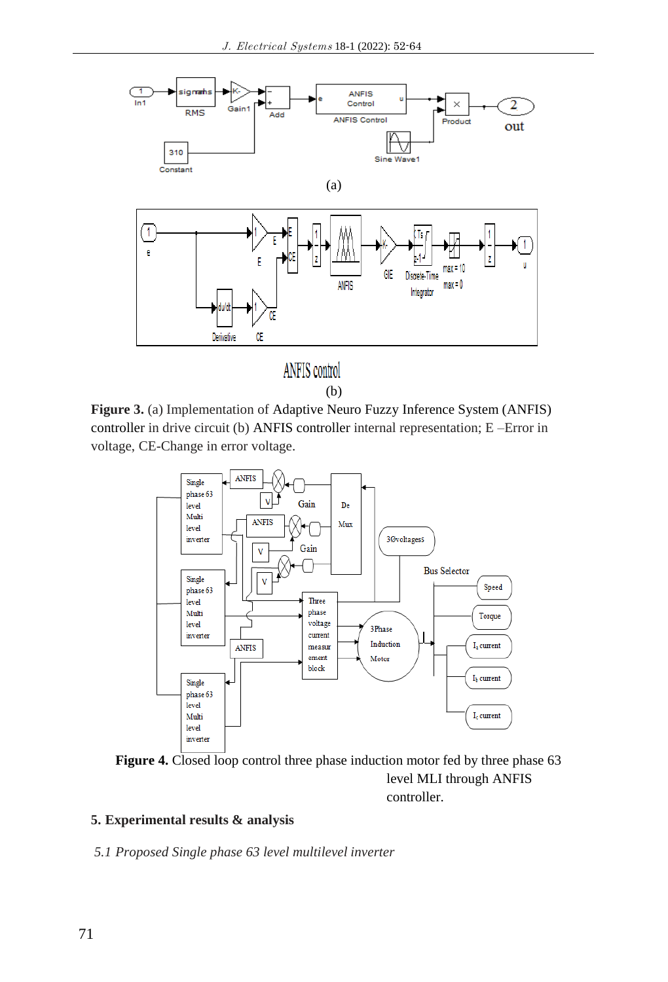

(b)

**Figure 3.** (a) Implementation of Adaptive Neuro Fuzzy Inference System (ANFIS) controller in drive circuit (b) ANFIS controller internal representation; E –Error in voltage, CE-Change in error voltage.



Figure 4. Closed loop control three phase induction motor fed by three phase 63 level MLI through ANFIS controller.

# **5. Experimental results & analysis**

*5.1 Proposed Single phase 63 level multilevel inverter*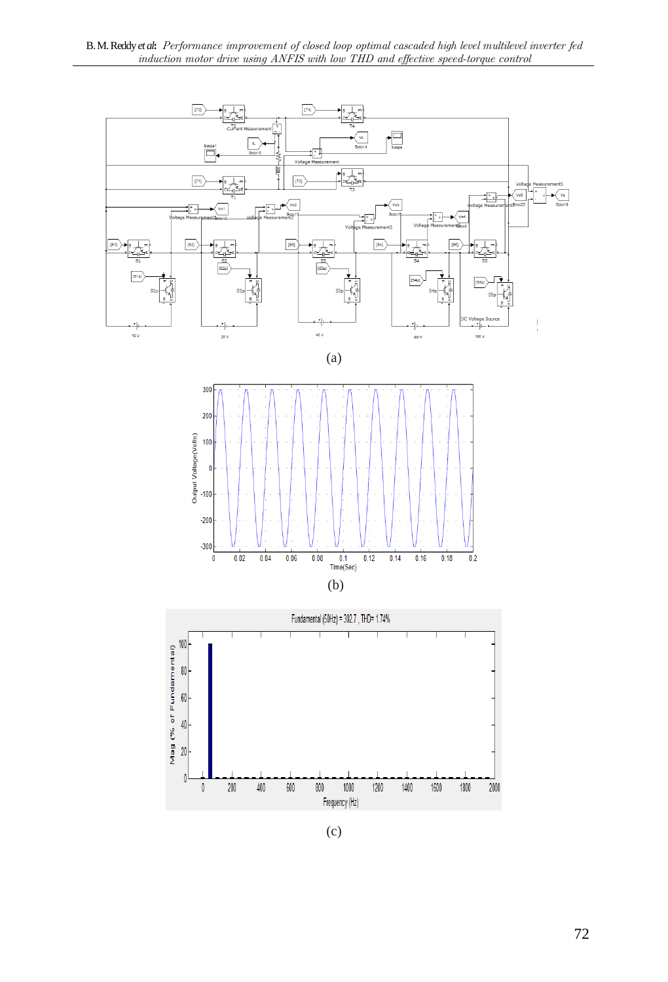

(c)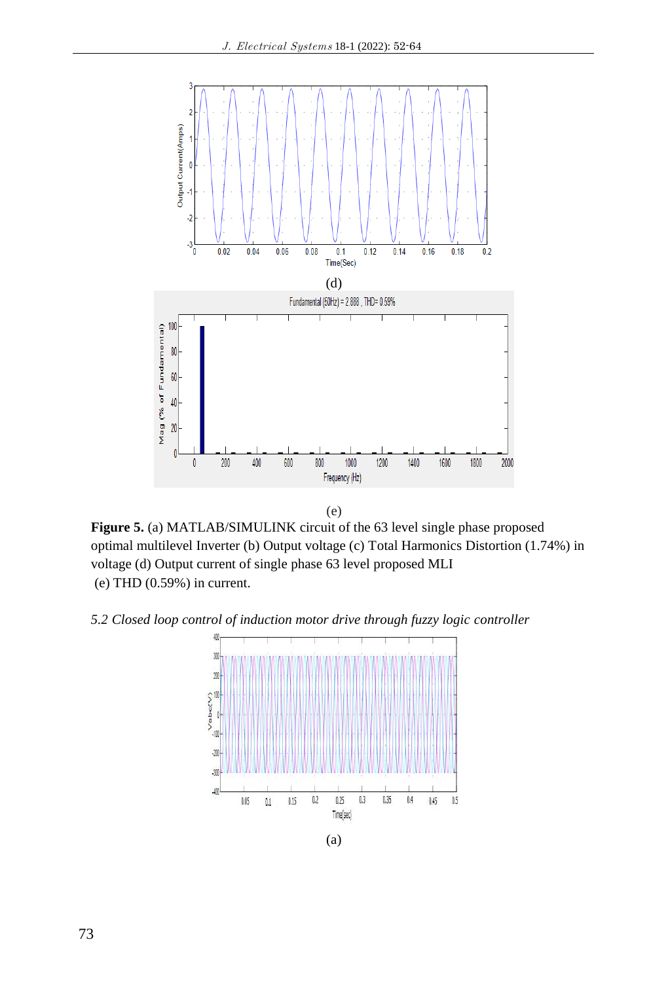

**Figure 5.** (a) MATLAB/SIMULINK circuit of the 63 level single phase proposed optimal multilevel Inverter (b) Output voltage (c) Total Harmonics Distortion (1.74%) in voltage (d) Output current of single phase 63 level proposed MLI (e) THD (0.59%) in current.

*5.2 Closed loop control of induction motor drive through fuzzy logic controller*



(a)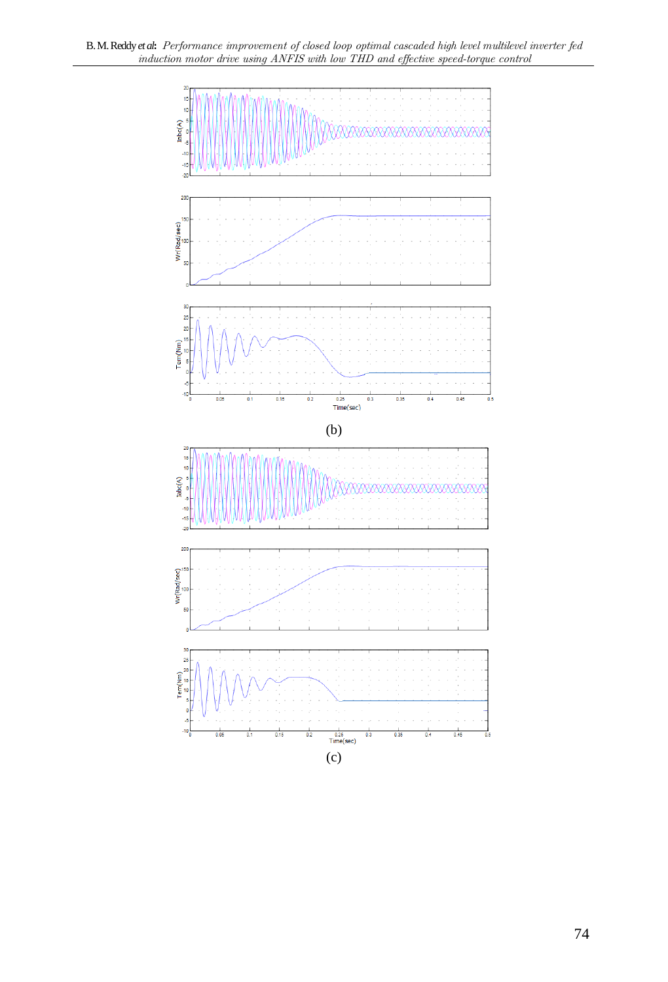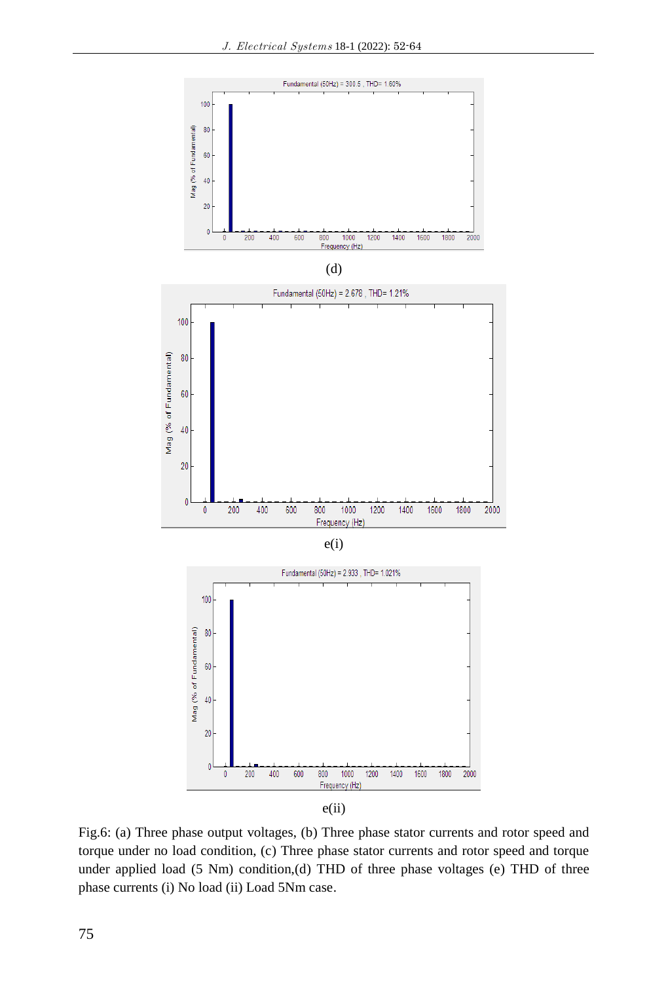

|   | . .<br>. . |  |
|---|------------|--|
| ٥ |            |  |







Fig.6: (a) Three phase output voltages, (b) Three phase stator currents and rotor speed and torque under no load condition, (c) Three phase stator currents and rotor speed and torque under applied load (5 Nm) condition,(d) THD of three phase voltages (e) THD of three phase currents (i) No load (ii) Load 5Nm case.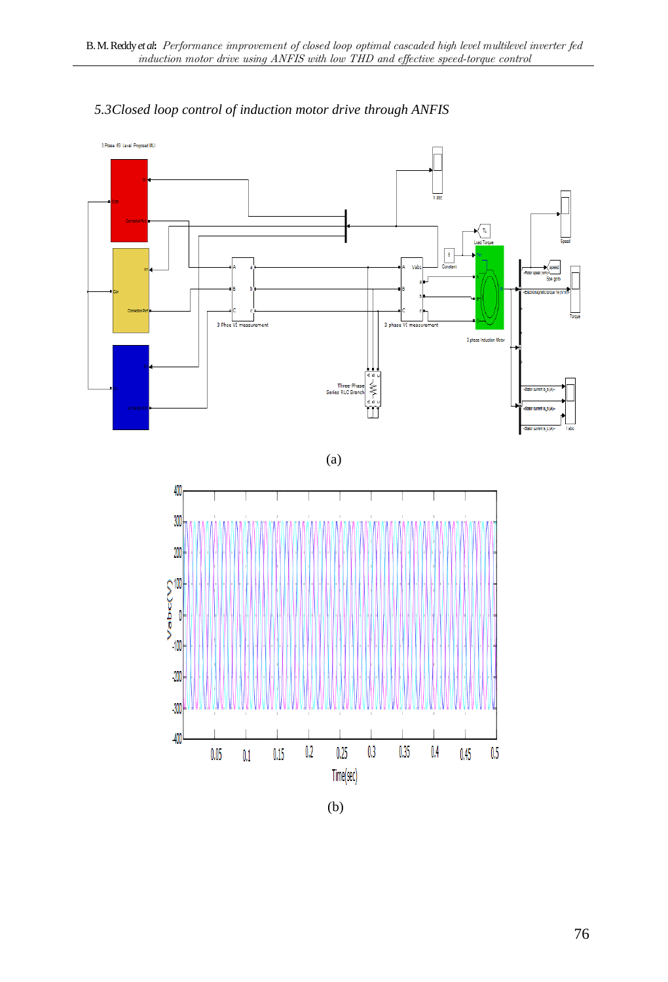

# *5.3Closed loop control of induction motor drive through ANFIS*

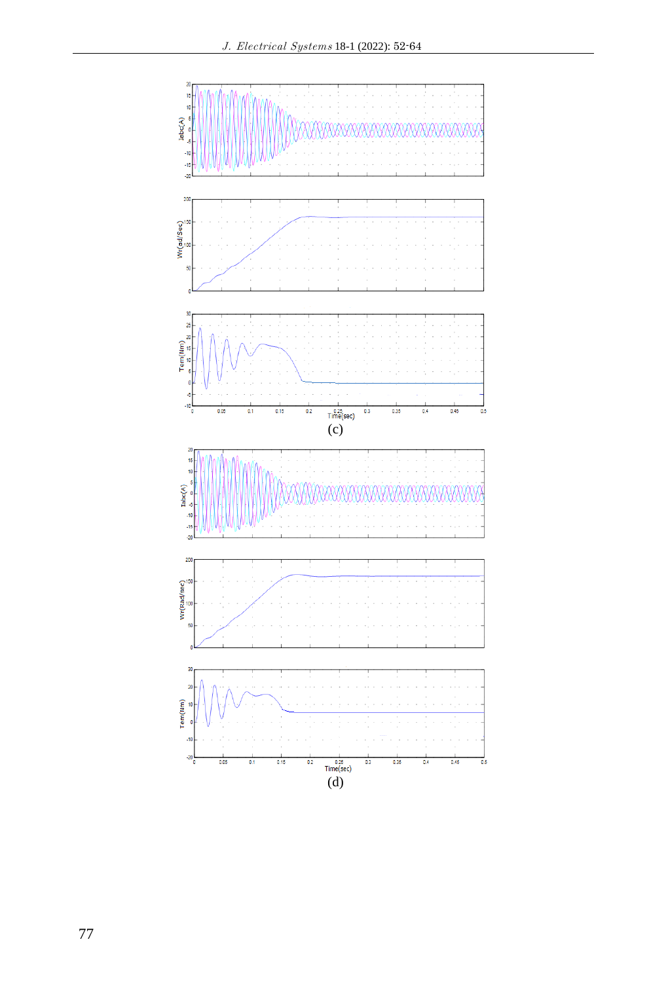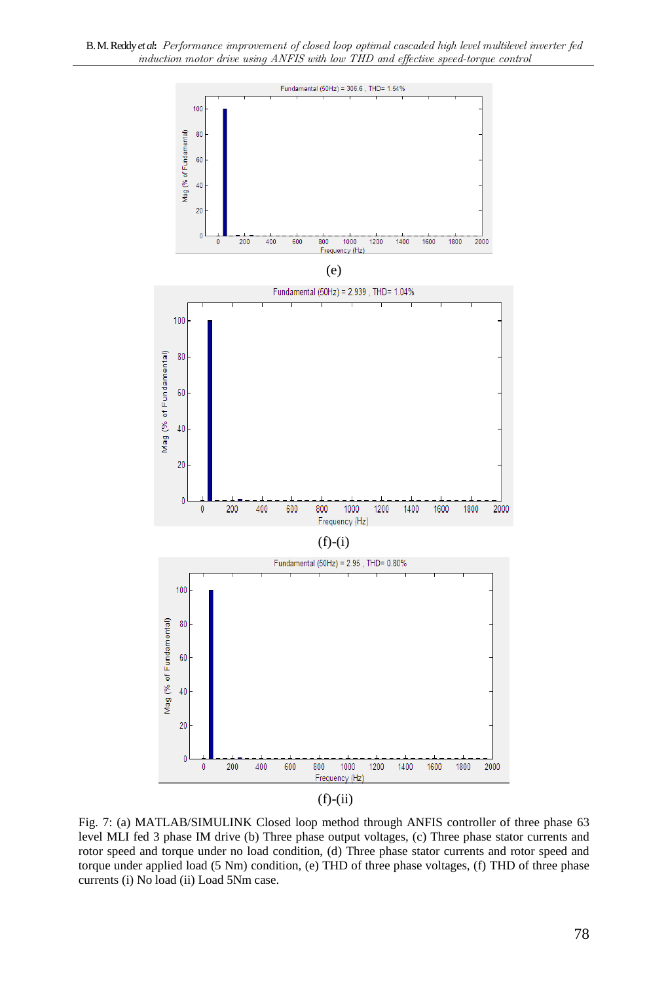



Fig. 7: (a) MATLAB/SIMULINK Closed loop method through ANFIS controller of three phase 63 level MLI fed 3 phase IM drive (b) Three phase output voltages, (c) Three phase stator currents and rotor speed and torque under no load condition, (d) Three phase stator currents and rotor speed and torque under applied load (5 Nm) condition, (e) THD of three phase voltages, (f) THD of three phase currents (i) No load (ii) Load 5Nm case.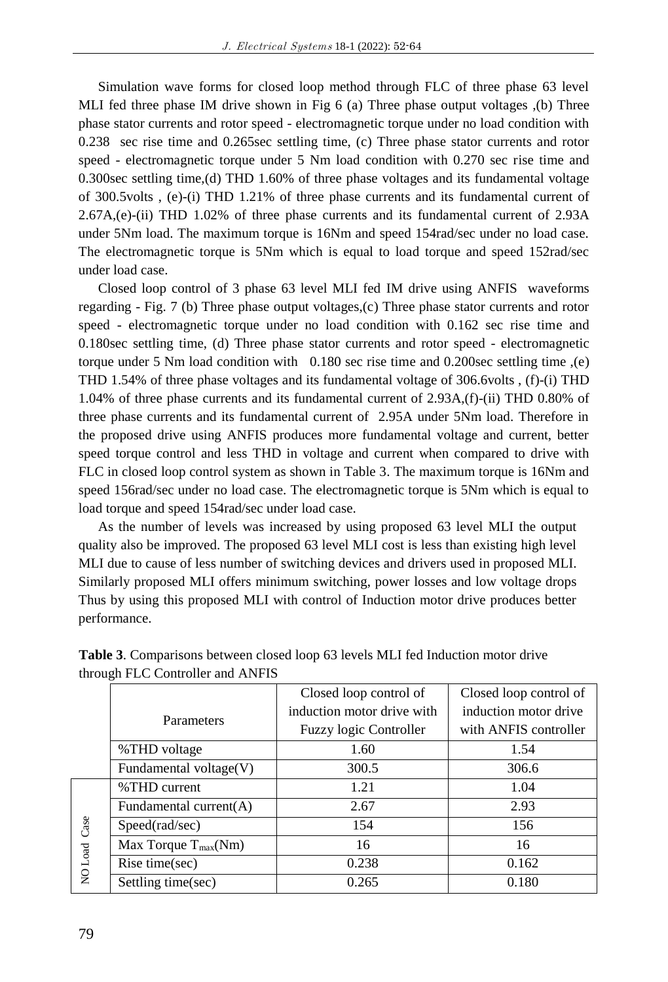Simulation wave forms for closed loop method through FLC of three phase 63 level MLI fed three phase IM drive shown in Fig 6 (a) Three phase output voltages ,(b) Three phase stator currents and rotor speed - electromagnetic torque under no load condition with 0.238 sec rise time and 0.265sec settling time, (c) Three phase stator currents and rotor speed - electromagnetic torque under 5 Nm load condition with 0.270 sec rise time and 0.300sec settling time,(d) THD 1.60% of three phase voltages and its fundamental voltage of 300.5volts , (e)-(i) THD 1.21% of three phase currents and its fundamental current of 2.67A,(e)-(ii) THD 1.02% of three phase currents and its fundamental current of 2.93A under 5Nm load. The maximum torque is 16Nm and speed 154rad/sec under no load case. The electromagnetic torque is 5Nm which is equal to load torque and speed 152rad/sec under load case.

Closed loop control of 3 phase 63 level MLI fed IM drive using ANFIS waveforms regarding - Fig. 7 (b) Three phase output voltages,(c) Three phase stator currents and rotor speed - electromagnetic torque under no load condition with 0.162 sec rise time and 0.180sec settling time, (d) Three phase stator currents and rotor speed - electromagnetic torque under 5 Nm load condition with 0.180 sec rise time and 0.200sec settling time ,(e) THD 1.54% of three phase voltages and its fundamental voltage of 306.6volts , (f)-(i) THD 1.04% of three phase currents and its fundamental current of 2.93A,(f)-(ii) THD 0.80% of three phase currents and its fundamental current of 2.95A under 5Nm load. Therefore in the proposed drive using ANFIS produces more fundamental voltage and current, better speed torque control and less THD in voltage and current when compared to drive with FLC in closed loop control system as shown in Table 3. The maximum torque is 16Nm and speed 156rad/sec under no load case. The electromagnetic torque is 5Nm which is equal to load torque and speed 154rad/sec under load case.

As the number of levels was increased by using proposed 63 level MLI the output quality also be improved. The proposed 63 level MLI cost is less than existing high level MLI due to cause of less number of switching devices and drivers used in proposed MLI. Similarly proposed MLI offers minimum switching, power losses and low voltage drops Thus by using this proposed MLI with control of Induction motor drive produces better performance.

|                 |                           | Closed loop control of     | Closed loop control of |
|-----------------|---------------------------|----------------------------|------------------------|
|                 | Parameters                | induction motor drive with | induction motor drive  |
|                 |                           | Fuzzy logic Controller     | with ANFIS controller  |
|                 | %THD voltage              | 1.60                       | 1.54                   |
|                 | Fundamental voltage(V)    | 300.5                      | 306.6                  |
| Case<br>NO Load | %THD current              | 1.21                       | 1.04                   |
|                 | Fundamental current $(A)$ | 2.67                       | 2.93                   |
|                 | Speed(rad/sec)            | 154                        | 156                    |
|                 | Max Torque $T_{max}(Nm)$  | 16                         | 16                     |
|                 | Rise time(sec)            | 0.238                      | 0.162                  |
|                 | Settling time(sec)        | 0.265                      | 0.180                  |

**Table 3**. Comparisons between closed loop 63 levels MLI fed Induction motor drive through FLC Controller and ANFIS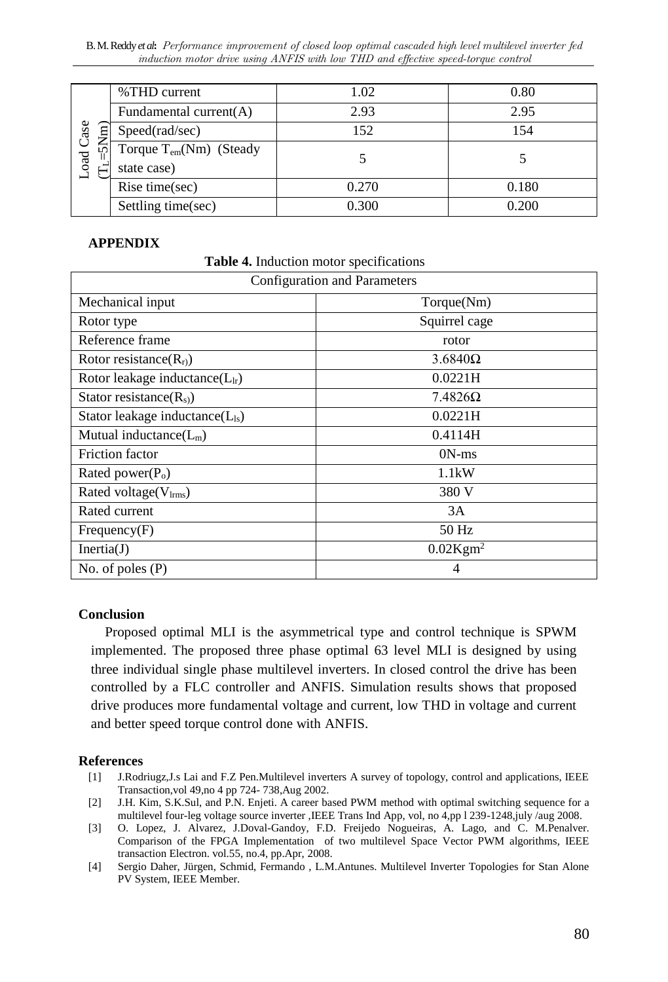B. M. Reddy *et al***:** Performance improvement of closed loop optimal cascaded high level multilevel inverter fed induction motor drive using ANFIS with low THD and effective speed-torque control

| oad Case<br>⇁<br>$\tilde{\mathcal{F}}$ | %THD current                        | 1.02  | 0.80  |
|----------------------------------------|-------------------------------------|-------|-------|
|                                        | Fundamental current(A)              | 2.93  | 2.95  |
|                                        | Speed(rad/sec)                      | 152   | 154   |
|                                        | Torque T <sub>em</sub> (Nm) (Steady |       |       |
|                                        | state case)                         |       |       |
|                                        | Rise time(sec)                      | 0.270 | 0.180 |
|                                        | Settling time(sec)                  | 0.300 | 0.200 |

### **APPENDIX**

**Table 4.** Induction motor specifications

| Configuration and Parameters         |                         |  |  |
|--------------------------------------|-------------------------|--|--|
| Mechanical input                     | Torque(Nm)              |  |  |
| Rotor type                           | Squirrel cage           |  |  |
| Reference frame                      | rotor                   |  |  |
| Rotor resistance $(Rr)$              | $3.6840\Omega$          |  |  |
| Rotor leakage inductance( $L_{lr}$ ) | 0.0221H                 |  |  |
| Stator resistance $(R_{s})$          | $7.4826\Omega$          |  |  |
| Stator leakage inductance $(L_{ls})$ | 0.0221H                 |  |  |
| Mutual inductance $(L_m)$            | 0.4114H                 |  |  |
| Friction factor                      | $0N$ -ms                |  |  |
| Rated power $(Po)$                   | 1.1kW                   |  |  |
| Rated voltage( $V_{lrms}$ )          | 380 V                   |  |  |
| Rated current                        | 3A                      |  |  |
| Frequency(F)                         | 50 Hz                   |  |  |
| Inertia(J)                           | $0.02$ Kgm <sup>2</sup> |  |  |
| No. of poles $(P)$                   | 4                       |  |  |

## **Conclusion**

Proposed optimal MLI is the asymmetrical type and control technique is SPWM implemented. The proposed three phase optimal 63 level MLI is designed by using three individual single phase multilevel inverters. In closed control the drive has been controlled by a FLC controller and ANFIS. Simulation results shows that proposed drive produces more fundamental voltage and current, low THD in voltage and current and better speed torque control done with ANFIS.

#### **References**

- [1] J.Rodriugz,J.s Lai and F.Z Pen.Multilevel inverters A survey of topology, control and applications, IEEE Transaction,vol 49,no 4 pp 724- 738,Aug 2002.
- [2] J.H. Kim, S.K.Sul, and P.N. Enjeti. A career based PWM method with optimal switching sequence for a multilevel four-leg voltage source inverter ,IEEE Trans Ind App, vol, no 4,pp l 239-1248,july /aug 2008.
- [3] O. Lopez, J. Alvarez, J.Doval-Gandoy, F.D. Freijedo Nogueiras, A. Lago, and C. M.Penalver. Comparison of the FPGA Implementation of two multilevel Space Vector PWM algorithms, IEEE transaction Electron. vol.55, no.4, pp.Apr, 2008.
- [4] Sergio Daher, Jürgen, Schmid, Fermando , L.M.Antunes. Multilevel Inverter Topologies for Stan Alone PV System, IEEE Member.